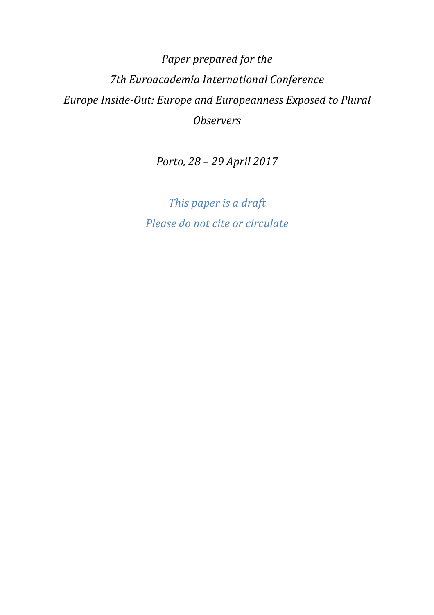# *Paper prepared for the 7th Euroacademia International Conference Europe Inside-Out: Europe and Europeanness Exposed to Plural Observers*

*Porto, 28 – 29 April 2017* 

*This paper is a draft Please do not cite or circulate*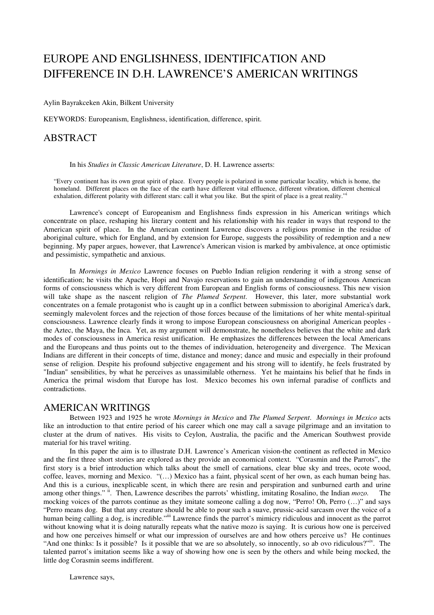# EUROPE AND ENGLISHNESS, IDENTIFICATION AND DIFFERENCE IN D.H. LAWRENCE'S AMERICAN WRITINGS

Aylin Bayrakceken Akin, Bilkent University

KEYWORDS: Europeanism, Englishness, identification, difference, spirit.

### ABSTRACT

In his *Studies in Classic American Literature*, D. H. Lawrence asserts:

"Every continent has its own great spirit of place. Every people is polarized in some particular locality, which is home, the homeland. Different places on the face of the earth have different vital effluence, different vibration, different chemical exhalation, different polarity with different stars: call it what you like. But the spirit of place is a great reality."

Lawrence's concept of Europeanism and Englishness finds expression in his American writings which concentrate on place, reshaping his literary content and his relationship with his reader in ways that respond to the American spirit of place. In the American continent Lawrence discovers a religious promise in the residue of aboriginal culture, which for England, and by extension for Europe, suggests the possibility of redemption and a new beginning. My paper argues, however, that Lawrence's American vision is marked by ambivalence, at once optimistic and pessimistic, sympathetic and anxious.

In *Mornings in Mexico* Lawrence focuses on Pueblo Indian religion rendering it with a strong sense of identification; he visits the Apache, Hopi and Navajo reservations to gain an understanding of indigenous American forms of consciousness which is very different from European and English forms of consciousness. This new vision will take shape as the nascent religion of *The Plumed Serpent*. However, this later, more substantial work concentrates on a female protagonist who is caught up in a conflict between submission to aboriginal America's dark, seemingly malevolent forces and the rejection of those forces because of the limitations of her white mental-spiritual consciousness. Lawrence clearly finds it wrong to impose European consciousness on aboriginal American peoples the Aztec, the Maya, the Inca. Yet, as my argument will demonstrate, he nonetheless believes that the white and dark modes of consciousness in America resist unification. He emphasizes the differences between the local Americans and the Europeans and thus points out to the themes of individuation, heterogeneity and divergence. The Mexican Indians are different in their concepts of time, distance and money; dance and music and especially in their profound sense of religion. Despite his profound subjective engagement and his strong will to identify, he feels frustrated by "Indian" sensibilities, by what he perceives as unassimilable otherness. Yet he maintains his belief that he finds in America the primal wisdom that Europe has lost. Mexico becomes his own infernal paradise of conflicts and contradictions.

#### AMERICAN WRITINGS

Between 1923 and 1925 he wrote *Mornings in Mexico* and *The Plumed Serpent*. *Mornings in Mexico* acts like an introduction to that entire period of his career which one may call a savage pilgrimage and an invitation to cluster at the drum of natives. His visits to Ceylon, Australia, the pacific and the American Southwest provide material for his travel writing.

In this paper the aim is to illustrate D.H. Lawrence's American vision-the continent as reflected in Mexico and the first three short stories are explored as they provide an economical context. "Corasmin and the Parrots", the first story is a brief introduction which talks about the smell of carnations, clear blue sky and trees, ocote wood, coffee, leaves, morning and Mexico. "(…) Mexico has a faint, physical scent of her own, as each human being has. And this is a curious, inexplicable scent, in which there are resin and perspiration and sunburned earth and urine among other things." ii. Then, Lawrence describes the parrots' whistling, imitating Rosalino, the Indian *mozo*. The mocking voices of the parrots continue as they imitate someone calling a dog now, "Perro! Oh, Perro (…)" and says "Perro means dog. But that any creature should be able to pour such a suave, prussic-acid sarcasm over the voice of a human being calling a dog, is incredible.<sup>"iii</sup> Lawrence finds the parrot's mimicry ridiculous and innocent as the parrot without knowing what it is doing naturally repeats what the native mozo is saying. It is curious how one is perceived and how one perceives himself or what our impression of ourselves are and how others perceive us? He continues "And one thinks: Is it possible? Is it possible that we are so absolutely, so innocently, so ab ovo ridiculous?"<sup>iv</sup>. The talented parrot's imitation seems like a way of showing how one is seen by the others and while being mocked, the little dog Corasmin seems indifferent.

Lawrence says,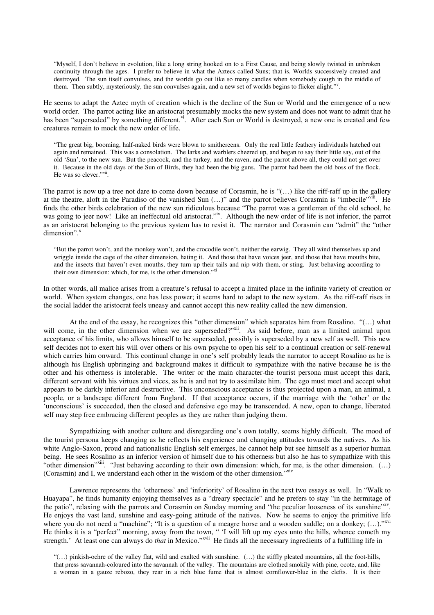"Myself, I don't believe in evolution, like a long string hooked on to a First Cause, and being slowly twisted in unbroken continuity through the ages. I prefer to believe in what the Aztecs called Suns; that is, Worlds successively created and destroyed. The sun itself convulses, and the worlds go out like so many candles when somebody cough in the middle of them. Then subtly, mysteriously, the sun convulses again, and a new set of worlds begins to flicker alight."".

He seems to adapt the Aztec myth of creation which is the decline of the Sun or World and the emergence of a new world order. The parrot acting like an aristocrat presumably mocks the new system and does not want to admit that he has been "superseded" by something different.<sup>vi</sup>. After each Sun or World is destroyed, a new one is created and few creatures remain to mock the new order of life.

"The great big, booming, half-naked birds were blown to smithereens. Only the real little feathery individuals hatched out again and remained. This was a consolation. The larks and warblers cheered up, and began to say their little say, out of the old 'Sun', to the new sun. But the peacock, and the turkey, and the raven, and the parrot above all, they could not get over it. Because in the old days of the Sun of Birds, they had been the big guns. The parrot had been the old boss of the flock. He was so clever."<sup>vii</sup>.

The parrot is now up a tree not dare to come down because of Corasmin, he is "(…) like the riff-raff up in the gallery at the theatre, aloft in the Paradiso of the vanished Sun (...)" and the parrot believes Corasmin is "imbecile"viii. He finds the other birds celebration of the new sun ridiculous because "The parrot was a gentleman of the old school, he was going to jeer now! Like an ineffectual old aristocrat."<sup>ix</sup>. Although the new order of life is not inferior, the parrot as an aristocrat belonging to the previous system has to resist it. The narrator and Corasmin can "admit" the "other dimension".<sup>x</sup>

"But the parrot won't, and the monkey won't, and the crocodile won't, neither the earwig. They all wind themselves up and wriggle inside the cage of the other dimension, hating it. And those that have voices jeer, and those that have mouths bite, and the insects that haven't even mouths, they turn up their tails and nip with them, or sting. Just behaving according to their own dimension: which, for me, is the other dimension."xi

In other words, all malice arises from a creature's refusal to accept a limited place in the infinite variety of creation or world. When system changes, one has less power; it seems hard to adapt to the new system. As the riff-raff rises in the social ladder the aristocrat feels uneasy and cannot accept this new reality called the new dimension.

 At the end of the essay, he recognizes this "other dimension" which separates him from Rosalino. "(…) what will come, in the other dimension when we are superseded?"xii. As said before, man as a limited animal upon acceptance of his limits, who allows himself to be superseded, possibly is superseded by a new self as well. This new self decides not to exert his will over others or his own psyche to open his self to a continual creation or self-renewal which carries him onward. This continual change in one's self probably leads the narrator to accept Rosalino as he is although his English upbringing and background makes it difficult to sympathize with the native because he is the other and his otherness is intolerable. The writer or the main character-the tourist persona must accept this dark, different servant with his virtues and vices, as he is and not try to assimilate him. The ego must meet and accept what appears to be darkly inferior and destructive. This unconscious acceptance is thus projected upon a man, an animal, a people, or a landscape different from England. If that acceptance occurs, if the marriage with the 'other' or the 'unconscious' is succeeded, then the closed and defensive ego may be transcended. A new, open to change, liberated self may step free embracing different peoples as they are rather than judging them.

 Sympathizing with another culture and disregarding one's own totally, seems highly difficult. The mood of the tourist persona keeps changing as he reflects his experience and changing attitudes towards the natives. As his white Anglo-Saxon, proud and nationalistic English self emerges, he cannot help but see himself as a superior human being. He sees Rosalino as an inferior version of himself due to his otherness but also he has to sympathize with this "other dimension"<sup>xiii</sup>. "Just behaving according to their own dimension: which, for me, is the other dimension. (...) (Corasmin) and I, we understand each other in the wisdom of the other dimension."xiv

 Lawrence represents the 'otherness' and 'inferiority' of Rosalino in the next two essays as well. In "Walk to Huayapa", he finds humanity enjoying themselves as a "dreary spectacle" and he prefers to stay "in the hermitage of the patio", relaxing with the parrots and Corasmin on Sunday morning and "the peculiar looseness of its sunshine"xv. He enjoys the vast land, sunshine and easy-going attitude of the natives. Now he seems to enjoy the primitive life where you do not need a "machine"; "It is a question of a meagre horse and a wooden saddle; on a donkey;  $(...).$ "xvi He thinks it is a "perfect" morning, away from the town, " 'I will lift up my eyes unto the hills, whence cometh my strength.' At least one can always do *that* in Mexico."<sup>xvii</sup> He finds all the necessary ingredients of a fulfilling life in

"(…) pinkish-ochre of the valley flat, wild and exalted with sunshine. (…) the stiffly pleated mountains, all the foot-hills, that press savannah-coloured into the savannah of the valley. The mountains are clothed smokily with pine, ocote, and, like a woman in a gauze rebozo, they rear in a rich blue fume that is almost cornflower-blue in the clefts. It is their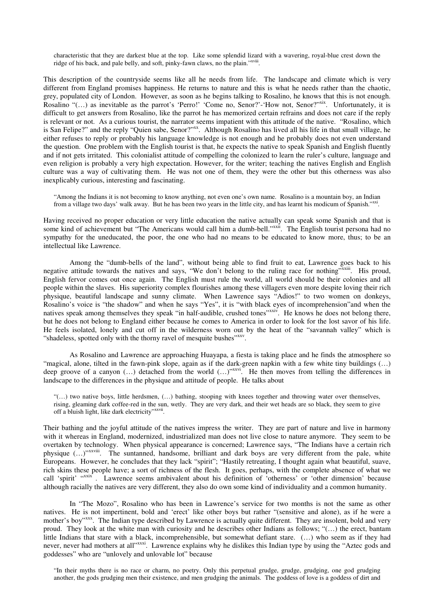characteristic that they are darkest blue at the top. Like some splendid lizard with a wavering, royal-blue crest down the ridge of his back, and pale belly, and soft, pinky-fawn claws, no the plain."<sup>xviii</sup>.

This description of the countryside seems like all he needs from life. The landscape and climate which is very different from England promises happiness. He returns to nature and this is what he needs rather than the chaotic, grey, populated city of London. However, as soon as he begins talking to Rosalino, he knows that this is not enough. Rosalino "(...) as inevitable as the parrot's 'Perro!' 'Come no, Senor?'-'How not, Senor?'<sup>xix</sup>. Unfortunately, it is difficult to get answers from Rosalino, like the parrot he has memorized certain refrains and does not care if the reply is relevant or not. As a curious tourist, the narrator seems impatient with this attitude of the native. "Rosalino, which is San Felipe?" and the reply "Quien sabe, Senor?"<sup>xx</sup>. Although Rosalino has lived all his life in that small village, he either refuses to reply or probably his language knowledge is not enough and he probably does not even understand the question. One problem with the English tourist is that, he expects the native to speak Spanish and English fluently and if not gets irritated. This colonialist attitude of compelling the colonized to learn the ruler's culture, language and even religion is probably a very high expectation. However, for the writer; teaching the natives English and English culture was a way of cultivating them. He was not one of them, they were the other but this otherness was also inexplicably curious, interesting and fascinating.

"Among the Indians it is not becoming to know anything, not even one's own name. Rosalino is a mountain boy, an Indian from a village two days' walk away. But he has been two years in the little city, and has learnt his modicum of Spanish."<sup>xxi</sup>.

Having received no proper education or very little education the native actually can speak some Spanish and that is some kind of achievement but "The Americans would call him a dumb-bell."<sup>xxii</sup>. The English tourist persona had no sympathy for the uneducated, the poor, the one who had no means to be educated to know more, thus; to be an intellectual like Lawrence.

Among the "dumb-bells of the land", without being able to find fruit to eat, Lawrence goes back to his negative attitude towards the natives and says, "We don't belong to the ruling race for nothing"<sup>xxiii</sup>. His proud, English fervor comes out once again. The English must rule the world, all world should be their colonies and all people within the slaves. His superiority complex flourishes among these villagers even more despite loving their rich physique, beautiful landscape and sunny climate. When Lawrence says "Adios!" to two women on donkeys, Rosalino's voice is "the shadow" and when he says "Yes", it is "with black eyes of incomprehension"and when the natives speak among themselves they speak "in half-audible, crushed tones"xxiv. He knows he does not belong there, but he does not belong to England either because he comes to America in order to look for the lost savor of his life. He feels isolated, lonely and cut off in the wilderness worn out by the heat of the "savannah valley" which is "shadeless, spotted only with the thorny ravel of mesquite bushes"xxv.

 As Rosalino and Lawrence are approaching Huayapa, a fiesta is taking place and he finds the atmosphere so "magical, alone, tilted in the fawn-pink slope, again as if the dark-green napkin with a few white tiny buildings (...) deep groove of a canyon (...) detached from the world (...)"xxvi. He then moves from telling the differences in landscape to the differences in the physique and attitude of people. He talks about

"(…) two native boys, little herdsmen, (…) bathing, stooping with knees together and throwing water over themselves, rising, gleaming dark coffee-red in the sun, wetly. They are very dark, and their wet heads are so black, they seem to give off a bluish light, like dark electricity"xxvii.

Their bathing and the joyful attitude of the natives impress the writer. They are part of nature and live in harmony with it whereas in England, modernized, industrialized man does not live close to nature anymore. They seem to be overtaken by technology. When physical appearance is concerned; Lawrence says, "The Indians have a certain rich physique (...)"xxviii. The suntanned, handsome, brilliant and dark boys are very different from the pale, white Europeans. However, he concludes that they lack "spirit"; "Hastily retreating, I thought again what beautiful, suave, rich skins these people have; a sort of richness of the flesh. It goes, perhaps, with the complete absence of what we call 'spirit' "xxix". Lawrence seems ambivalent about his definition of 'otherness' or 'other dimension' because although racially the natives are very different, they also do own some kind of individuality and a common humanity.

 In "The Mozo", Rosalino who has been in Lawrence's service for two months is not the same as other natives. He is not impertinent, bold and 'erect' like other boys but rather "(sensitive and alone), as if he were a mother's boy"xxx. The Indian type described by Lawrence is actually quite different. They are insolent, bold and very proud. They look at the white man with curiosity and he describes other Indians as follows; "(…) the erect, bantam little Indians that stare with a black, incomprehensible, but somewhat defiant stare. (…) who seem as if they had never, never had mothers at all"xxxi. Lawrence explains why he dislikes this Indian type by using the "Aztec gods and goddesses" who are "unlovely and unlovable lot" because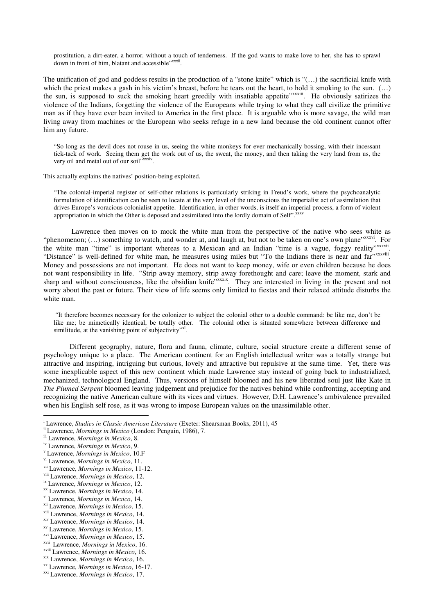prostitution, a dirt-eater, a horror, without a touch of tenderness. If the god wants to make love to her, she has to sprawl down in front of him, blatant and accessible"xxxii.

The unification of god and goddess results in the production of a "stone knife" which is "(…) the sacrificial knife with which the priest makes a gash in his victim's breast, before he tears out the heart, to hold it smoking to the sun. (...) the sun, is supposed to suck the smoking heart greedily with insatiable appetite"<sup>xxxxiii</sup>. He obviously satirizes the violence of the Indians, forgetting the violence of the Europeans while trying to what they call civilize the primitive man as if they have ever been invited to America in the first place. It is arguable who is more savage, the wild man living away from machines or the European who seeks refuge in a new land because the old continent cannot offer him any future.

"So long as the devil does not rouse in us, seeing the white monkeys for ever mechanically bossing, with their incessant tick-tack of work. Seeing them get the work out of us, the sweat, the money, and then taking the very land from us, the very oil and metal out of our soil"xxxiv.

This actually explains the natives' position-being exploited.

"The colonial-imperial register of self-other relations is particularly striking in Freud's work, where the psychoanalytic formulation of identification can be seen to locate at the very level of the unconscious the imperialist act of assimilation that drives Europe's voracious colonialist appetite. Identification, in other words, is itself an imperial process, a form of violent appropriation in which the Other is deposed and assimilated into the lordly domain of Self".<sup>xxxv</sup>

 Lawrence then moves on to mock the white man from the perspective of the native who sees white as "phenomenon;  $(...)$  something to watch, and wonder at, and laugh at, but not to be taken on one's own plane"xxxvi. For the white man "time" is important whereas to a Mexican and an Indian "time is a vague, foggy reality"xxxvii. . "Distance" is well-defined for white man, he measures using miles but "To the Indians there is near and far"xxxviii. Money and possessions are not important. He does not want to keep money, wife or even children because he does not want responsibility in life. "Strip away memory, strip away forethought and care; leave the moment, stark and sharp and without consciousness, like the obsidian knife"xxxix. They are interested in living in the present and not worry about the past or future. Their view of life seems only limited to fiestas and their relaxed attitude disturbs the white man.

 "It therefore becomes necessary for the colonizer to subject the colonial other to a double command: be like me, don't be like me; be mimetically identical, be totally other. The colonial other is situated somewhere between difference and similitude, at the vanishing point of subjectivity"<sup>xl</sup>.

 Different geography, nature, flora and fauna, climate, culture, social structure create a different sense of psychology unique to a place. The American continent for an English intellectual writer was a totally strange but attractive and inspiring, intriguing but curious, lovely and attractive but repulsive at the same time. Yet, there was some inexplicable aspect of this new continent which made Lawrence stay instead of going back to industrialized, mechanized, technological England. Thus, versions of himself bloomed and his new liberated soul just like Kate in *The Plumed Serpent* bloomed leaving judgement and prejudice for the natives behind while confronting, accepting and recognizing the native American culture with its vices and virtues. However, D.H. Lawrence's ambivalence prevailed when his English self rose, as it was wrong to impose European values on the unassimilable other.

 $\overline{a}$ 

i Lawrence, *Studies in Classic American Literature* (Exeter: Shearsman Books, 2011), 45

ii Lawrence, *Mornings in Mexico* (London: Penguin, 1986), 7.

iii Lawrence, *Mornings in Mexico*, 8.

iv Lawrence, *Mornings in Mexico*, 9.

v Lawrence, *Mornings in Mexico*, 10.F

vi Lawrence, *Mornings in Mexico*, 11.

vii Lawrence, *Mornings in Mexico*, 11-12.

viii Lawrence, *Mornings in Mexico*, 12.

ix Lawrence, *Mornings in Mexico*, 12.

xx Lawrence, *Mornings in Mexico*, 14.

xi Lawrence, *Mornings in Mexico*, 14.

xii Lawrence, *Mornings in Mexico*, 15.

xiii Lawrence, *Mornings in Mexico*, 14.

xiv Lawrence, *Mornings in Mexico*, 14.

xv Lawrence, *Mornings in Mexico*, 15.

xvi Lawrence, *Mornings in Mexico*, 15.

xvii Lawrence, *Mornings in Mexico*, 16.

xviii Lawrence, *Mornings in Mexico*, 16.

xix Lawrence, *Mornings in Mexico*, 16.

xx Lawrence, *Mornings in Mexico*, 16-17.

xxi Lawrence, *Mornings in Mexico*, 17.